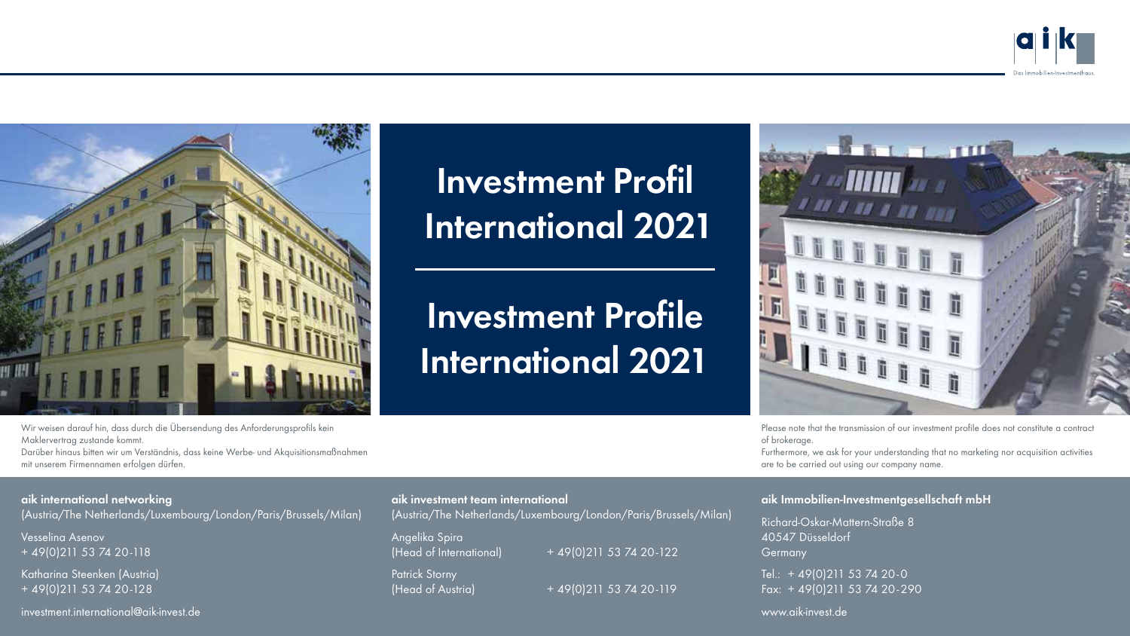



Investment Profil International 2021

Investment Profile International 2021



Please note that the transmission of our investment profile does not constitute a contract of brokerage.

Furthermore, we ask for your understanding that no marketing nor acquisition activities are to be carried out using our company name.

#### aik Immobilien-Investmentgesellschaft mbH

Richard-Oskar-Mattern-Straße 8 40547 Düsseldorf Germany

Tel.: + 49(0)211 53 74 20-0 Fax: + 49(0)211 53 74 20-290

www.aik-invest.de

Wir weisen darauf hin, dass durch die Übersendung des Anforderungsprofils kein Maklervertrag zustande kommt.

Darüber hinaus bitten wir um Verständnis, dass keine Werbe- und Akquisitionsmaßnahmen mit unserem Firmennamen erfolgen dürfen.

### aik international networking

(Austria/The Netherlands/Luxembourg/London/Paris/Brussels/Milan)

Vesselina Asenov + 49(0)211 53 74 20-118

Katharina Steenken (Austria) + 49(0)211 53 74 20-128

#### investment.international@aik-invest.de

aik investment team international

(Austria/The Netherlands/Luxembourg/London/Paris/Brussels/Milan)

Angelika Spira

Patrick Storny

 $(Head of International) + 49(0)211 53 74 20-122$ 

(Head of Austria) + 49(0)211 53 74 20-119